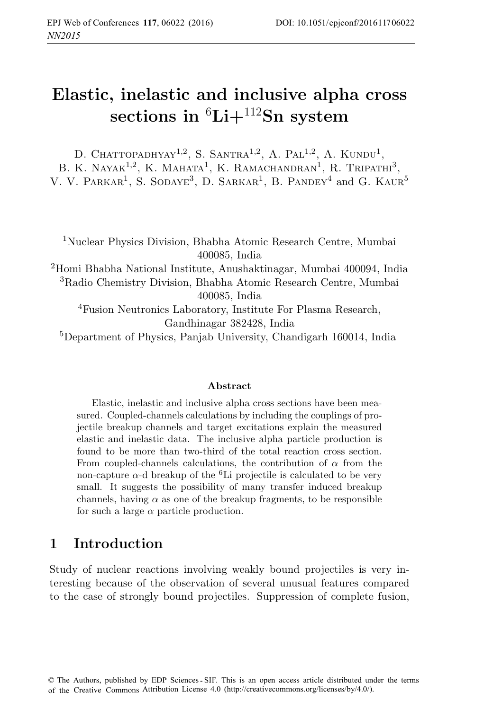# **Elastic, inelastic and inclusive alpha cross sections in** <sup>6</sup>**Li+**<sup>112</sup>**Sn system**

D. CHATTOPADHYAY<sup>1,2</sup>, S. SANTRA<sup>1,2</sup>, A. PAL<sup>1,2</sup>, A. KUNDU<sup>1</sup>, B. K. NAYAK<sup>1,2</sup>, K. MAHATA<sup>1</sup>, K. RAMACHANDRAN<sup>1</sup>, R. TRIPATHI<sup>3</sup>, V. V. PARKAR<sup>1</sup>, S. SODAYE<sup>3</sup>, D. SARKAR<sup>1</sup>, B. PANDEY<sup>4</sup> and G. KAUR<sup>5</sup>

<sup>1</sup>Nuclear Physics Division, Bhabha Atomic Research Centre, Mumbai 400085, India <sup>2</sup>Homi Bhabha National Institute, Anushaktinagar, Mumbai 400094, India <sup>3</sup>Radio Chemistry Division, Bhabha Atomic Research Centre, Mumbai 400085, India <sup>4</sup>Fusion Neutronics Laboratory, Institute For Plasma Research, Gandhinagar 382428, India

<sup>5</sup>Department of Physics, Panjab University, Chandigarh 160014, India

#### **Abstract**

Elastic, inelastic and inclusive alpha cross sections have been measured. Coupled-channels calculations by including the couplings of projectile breakup channels and target excitations explain the measured elastic and inelastic data. The inclusive alpha particle production is found to be more than two-third of the total reaction cross section. From coupled-channels calculations, the contribution of  $\alpha$  from the non-capture  $\alpha$ -d breakup of the <sup>6</sup>Li projectile is calculated to be very small. It suggests the possibility of many transfer induced breakup channels, having  $\alpha$  as one of the breakup fragments, to be responsible for such a large  $\alpha$  particle production.

## **1 Introduction**

Study of nuclear reactions involving weakly bound projectiles is very interesting because of the observation of several unusual features compared to the case of strongly bound projectiles. Suppression of complete fusion,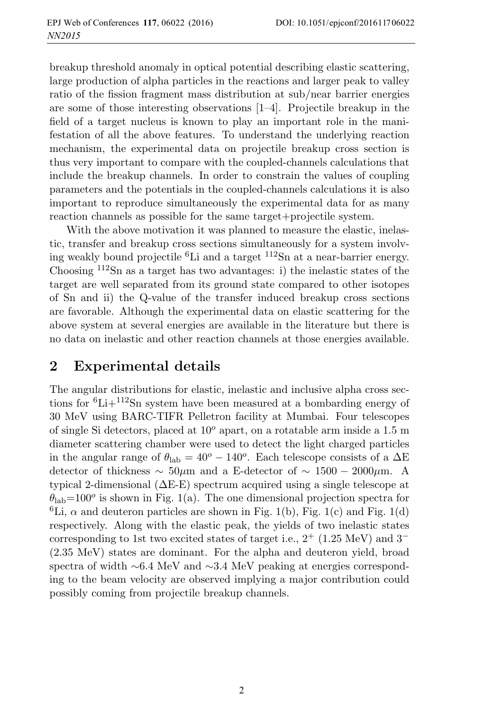breakup threshold anomaly in optical potential describing elastic scattering, large production of alpha particles in the reactions and larger peak to valley ratio of the fission fragment mass distribution at sub/near barrier energies are some of those interesting observations  $[1-4]$ . Projectile breakup in the field of a target nucleus is known to play an important role in the manifestation of all the above features. To understand the underlying reaction mechanism, the experimental data on projectile breakup cross section is thus very important to compare with the coupled-channels calculations that include the breakup channels. In order to constrain the values of coupling parameters and the potentials in the coupled-channels calculations it is also important to reproduce simultaneously the experimental data for as many reaction channels as possible for the same target+projectile system.

With the above motivation it was planned to measure the elastic, inelastic, transfer and breakup cross sections simultaneously for a system involving weakly bound projectile  ${}^{6}$ Li and a target  ${}^{112}$ Sn at a near-barrier energy. Choosing  $112$ Sn as a target has two advantages: i) the inelastic states of the target are well separated from its ground state compared to other isotopes of Sn and ii) the Q-value of the transfer induced breakup cross sections are favorable. Although the experimental data on elastic scattering for the above system at several energies are available in the literature but there is no data on inelastic and other reaction channels at those energies available.

## **2 Experimental details**

The angular distributions for elastic, inelastic and inclusive alpha cross sections for  ${}^{6}Li+{}^{112}Sn$  system have been measured at a bombarding energy of 30 MeV using BARC-TIFR Pelletron facility at Mumbai. Four telescopes of single Si detectors, placed at  $10^{\circ}$  apart, on a rotatable arm inside a 1.5 m diameter scattering chamber were used to detect the light charged particles in the angular range of  $\theta_{\rm lab} = 40^{\circ} - 140^{\circ}$ . Each telescope consists of a  $\Delta E$ detector of thickness  $\sim 50 \mu m$  and a E-detector of  $\sim 1500 - 2000 \mu m$ . A typical 2-dimensional  $(\Delta E-E)$  spectrum acquired using a single telescope at  $\theta_{\rm lab}$ =100<sup>o</sup> is shown in Fig. 1(a). The one dimensional projection spectra for <sup>6</sup>Li,  $\alpha$  and deuteron particles are shown in Fig. 1(b), Fig. 1(c) and Fig. 1(d) respectively. Along with the elastic peak, the yields of two inelastic states corresponding to 1st two excited states of target i.e.,  $2^+$  (1.25 MeV) and  $3^-$ (2.35 MeV) states are dominant. For the alpha and deuteron yield, broad spectra of width ∼6.4 MeV and ∼3.4 MeV peaking at energies corresponding to the beam velocity are observed implying a major contribution could possibly coming from projectile breakup channels.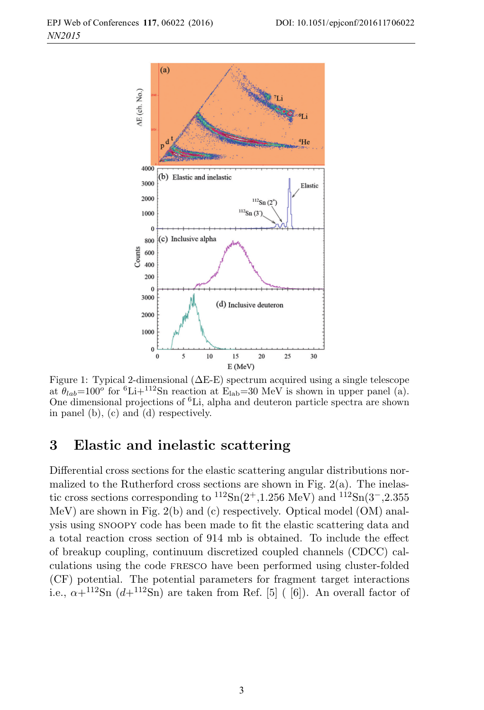

Figure 1: Typical 2-dimensional  $(\Delta E-E)$  spectrum acquired using a single telescope at  $\theta_{lab}=100^{\circ}$  for  ${}^{6}\text{Li}+{}^{112}\text{Sn}$  reaction at  $\text{E}_{lab}=30$  MeV is shown in upper panel (a). One dimensional projections of  ${}^{6}$ Li, alpha and deuteron particle spectra are shown in panel (b), (c) and (d) respectively.

#### **3 Elastic and inelastic scattering**

Differential cross sections for the elastic scattering angular distributions normalized to the Rutherford cross sections are shown in Fig.  $2(a)$ . The inelastic cross sections corresponding to  ${}^{112}Sn(2+,1.256 \text{ MeV})$  and  ${}^{112}Sn(3-,2.355)$ MeV) are shown in Fig. 2(b) and (c) respectively. Optical model (OM) analysis using snoopy code has been made to fit the elastic scattering data and a total reaction cross section of 914 mb is obtained. To include the effect of breakup coupling, continuum discretized coupled channels (CDCC) calculations using the code fresco have been performed using cluster-folded (CF) potential. The potential parameters for fragment target interactions i.e.,  $\alpha + ^{112}$ Sn  $(d+^{112}Sn)$  are taken from Ref. [5] ( [6]). An overall factor of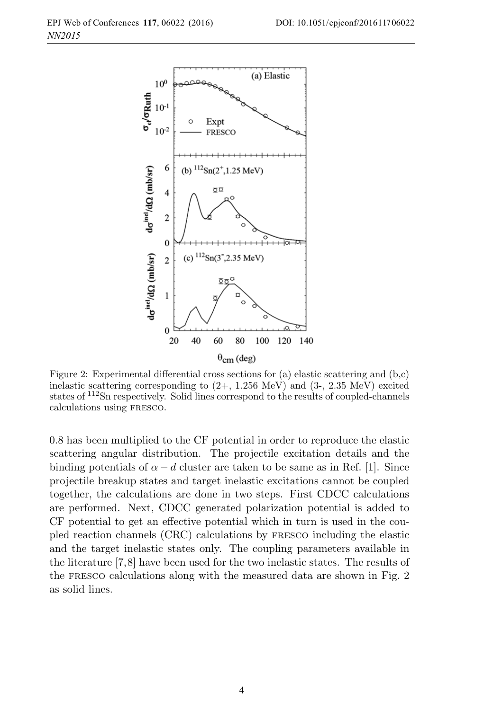

Figure 2: Experimental differential cross sections for (a) elastic scattering and (b,c) inelastic scattering corresponding to  $(2+, 1.256 \text{ MeV})$  and  $(3-, 2.35 \text{ MeV})$  excited states of <sup>112</sup>Sn respectively. Solid lines correspond to the results of coupled-channels calculations using fresco.

0.8 has been multiplied to the CF potential in order to reproduce the elastic scattering angular distribution. The projectile excitation details and the binding potentials of  $\alpha - d$  cluster are taken to be same as in Ref. [1]. Since projectile breakup states and target inelastic excitations cannot be coupled together, the calculations are done in two steps. First CDCC calculations are performed. Next, CDCC generated polarization potential is added to CF potential to get an effective potential which in turn is used in the coupled reaction channels (CRC) calculations by fresco including the elastic and the target inelastic states only. The coupling parameters available in the literature [7,8] have been used for the two inelastic states. The results of the fresco calculations along with the measured data are shown in Fig. 2 as solid lines.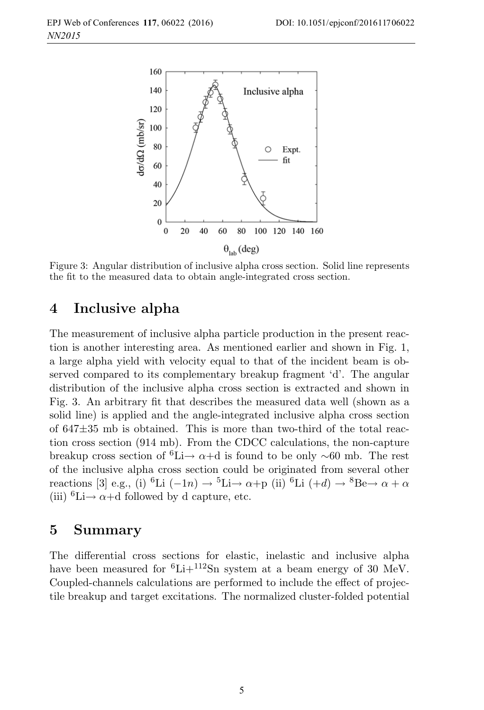

Figure 3: Angular distribution of inclusive alpha cross section. Solid line represents the fit to the measured data to obtain angle-integrated cross section.

#### **4 Inclusive alpha**

The measurement of inclusive alpha particle production in the present reaction is another interesting area. As mentioned earlier and shown in Fig. 1, a large alpha yield with velocity equal to that of the incident beam is observed compared to its complementary breakup fragment 'd'. The angular distribution of the inclusive alpha cross section is extracted and shown in Fig. 3. An arbitrary fit that describes the measured data well (shown as a solid line) is applied and the angle-integrated inclusive alpha cross section of 647±35 mb is obtained. This is more than two-third of the total reaction cross section (914 mb). From the CDCC calculations, the non-capture breakup cross section of <sup>6</sup>Li→  $\alpha$ +d is found to be only ~60 mb. The rest of the inclusive alpha cross section could be originated from several other reactions [3] e.g., (i) <sup>6</sup>Li (−1n) → <sup>5</sup>Li→ α+p (ii) <sup>6</sup>Li (+d) → <sup>8</sup>Be→ α + α (iii)  ${}^{6}$ Li $\rightarrow \alpha+$ d followed by d capture, etc.

#### **5 Summary**

The differential cross sections for elastic, inelastic and inclusive alpha have been measured for  ${}^{6}Li+{}^{112}Sn$  system at a beam energy of 30 MeV. Coupled-channels calculations are performed to include the effect of projectile breakup and target excitations. The normalized cluster-folded potential